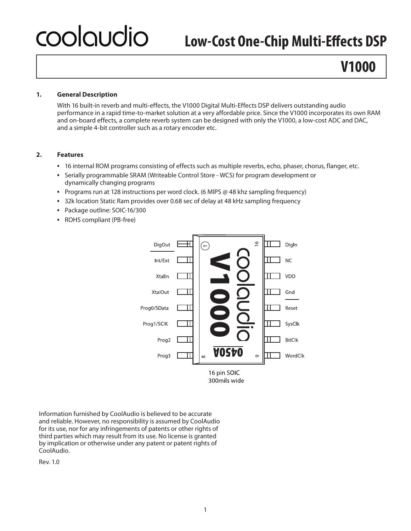# coolgudio

# **Low-Cost One-Chip Multi-Effects DSP**

# **V1000**

#### **1. General Description**

With 16 built-in reverb and multi-effects, the V1000 Digital Multi-Effects DSP delivers outstanding audio performance in a rapid time-to-market solution at a very affordable price. Since the V1000 incorporates its own RAM and on-board effects, a complete reverb system can be designed with only the V1000, a low-cost ADC and DAC, and a simple 4-bit controller such as a rotary encoder etc.

#### **2. Features**

- **•**  16 internal ROM programs consisting of effects such as multiple reverbs, echo, phaser, chorus, flanger, etc.
- **•**  Serially programmable SRAM (Writeable Control Store WCS) for program development or dynamically changing programs
- **•**  Programs run at 128 instructions per word clock. (6 MIPS @ 48 khz sampling frequency)
- **•**  32k location Static Ram provides over 0.68 sec of delay at 48 kHz sampling frequency
- **•**  Package outline: SOIC-16/300
- **•**  ROHS compliant (PB-free)



Information furnished by CoolAudio is believed to be accurate and reliable. However, no responsibility is assumed by CoolAudio for its use, nor for any infringements of patents or other rights of third parties which may result from its use. No license is granted by implication or otherwise under any patent or patent rights of CoolAudio.

Rev. 1.0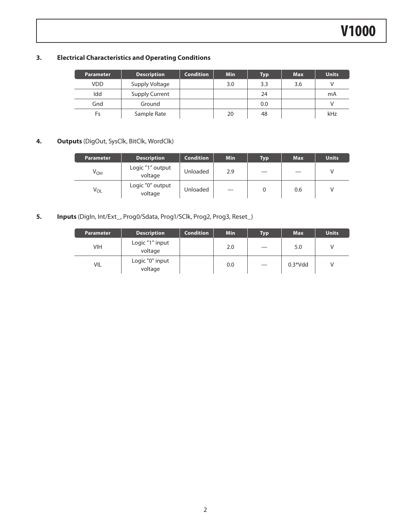#### **3. Electrical Characteristics and Operating Conditions**

| <b>Parameter</b> | <b>Description</b>    | <b>Condition</b> | <b>Min</b> | Typ | <b>Max</b> | <b>Units</b> |
|------------------|-----------------------|------------------|------------|-----|------------|--------------|
| <b>VDD</b>       | Supply Voltage        |                  | 3.0        | 3.3 | 3.6        |              |
| Idd              | <b>Supply Current</b> |                  |            | 24  |            | mA           |
| Gnd              | Ground                |                  |            | 0.0 |            |              |
| Fs               | Sample Rate           |                  | 20         | 48  |            | kHz          |

#### **4. Outputs** (DigOut, SysClk, BitClk, WordClk)

| <b>Parameter</b> | <b>Description</b>          | <b>Condition</b> | <b>Min</b> | Typ | <b>Max</b> | <b>Units</b> |
|------------------|-----------------------------|------------------|------------|-----|------------|--------------|
| $V_{OH}$         | Logic "1" output<br>voltage | Unloaded         | 2.9        |     |            | v            |
| $V_{OL}$         | Logic "0" output<br>voltage | Unloaded         |            |     | 0.6        |              |

#### **5. Inputs** (DigIn, Int/Ext\_, Prog0/Sdata, Prog1/SClk, Prog2, Prog3, Reset\_)

| <b>Parameter</b> | <b>Description</b>         | <b>Condition</b> | <b>Min</b> | <b>Typ</b> | <b>Max</b> | <b>Units</b> |
|------------------|----------------------------|------------------|------------|------------|------------|--------------|
| VIH              | Logic "1" input<br>voltage |                  | 2.0        |            | 5.0        |              |
| VIL              | Logic "0" input<br>voltage |                  | 0.0        |            | $0.3*Vdd$  |              |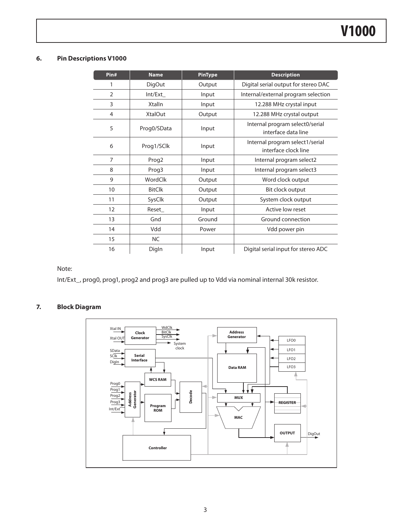#### **6. Pin Descriptions V1000**

| Pin#           | <b>Name</b>       | <b>PinType</b> | <b>Description</b>                                      |
|----------------|-------------------|----------------|---------------------------------------------------------|
| 1              | <b>DigOut</b>     | Output         | Digital serial output for stereo DAC                    |
| $\overline{2}$ | Int/Ext           | Input          | Internal/external program selection                     |
| 3              | <b>Xtalln</b>     | Input          | 12.288 MHz crystal input                                |
| 4              | <b>XtalOut</b>    | Output         | 12.288 MHz crystal output                               |
| 5              | Prog0/SData       | Input          | Internal program select0/serial<br>interface data line  |
| 6              | Prog1/SClk        | Input          | Internal program select1/serial<br>interface clock line |
| $\overline{7}$ | Prog <sub>2</sub> | Input          | Internal program select2                                |
| 8              | Prog3             | Input          | Internal program select3                                |
| 9              | WordClk           | Output         | Word clock output                                       |
| 10             | <b>BitClk</b>     | Output         | Bit clock output                                        |
| 11             | SysClk            | Output         | System clock output                                     |
| 12             | Reset_            | Input          | Active low reset                                        |
| 13             | Gnd               | Ground         | Ground connection                                       |
| 14             | Vdd               | Power          | Vdd power pin                                           |
| 15             | <b>NC</b>         |                |                                                         |
| 16             | Digln             | Input          | Digital serial input for stereo ADC                     |

Note:

Int/Ext\_, prog0, prog1, prog2 and prog3 are pulled up to Vdd via nominal internal 30k resistor.

#### **7. Block Diagram**

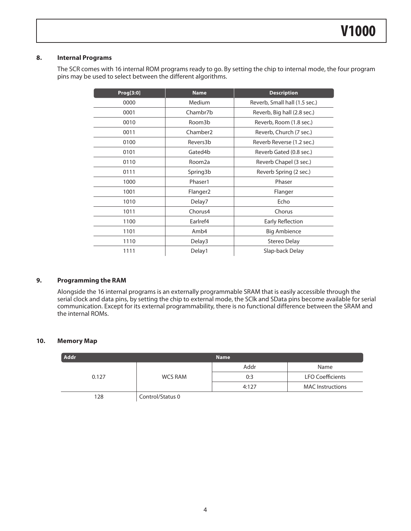#### **8. Internal Programs**

The SCR comes with 16 internal ROM programs ready to go. By setting the chip to internal mode, the four program pins may be used to select between the different algorithms.

| Prog[3:0] | <b>Name</b>          | <b>Description</b>            |
|-----------|----------------------|-------------------------------|
| 0000      | Medium               | Reverb, Small hall (1.5 sec.) |
| 0001      | Chambr7b             | Reverb, Big hall (2.8 sec.)   |
| 0010      | Room3b               | Reverb, Room (1.8 sec.)       |
| 0011      | Chamber <sub>2</sub> | Reverb, Church (7 sec.)       |
| 0100      | Revers3b             | Reverb Reverse (1.2 sec.)     |
| 0101      | Gated4b              | Reverb Gated (0.8 sec.)       |
| 0110      | Room2a               | Reverb Chapel (3 sec.)        |
| 0111      | Spring3b             | Reverb Spring (2 sec.)        |
| 1000      | Phaser1              | Phaser                        |
| 1001      | Flanger <sub>2</sub> | Flanger                       |
| 1010      | Delay7               | Echo                          |
| 1011      | Chorus4              | Chorus                        |
| 1100      | Earlref4             | <b>Early Reflection</b>       |
| 1101      | Amb4                 | <b>Big Ambience</b>           |
| 1110      | Delay3               | Stereo Delay                  |
| 1111      | Delay1               | Slap-back Delay               |

#### **9. Programming the RAM**

Alongside the 16 internal programs is an externally programmable SRAM that is easily accessible through the serial clock and data pins, by setting the chip to external mode, the SClk and SData pins become available for serial communication. Except for its external programmability, there is no functional difference between the SRAM and the internal ROMs.

#### **10. Memory Map**

| Addr  |                  | <b>Name</b> |                         |
|-------|------------------|-------------|-------------------------|
|       |                  | Addr        | Name                    |
| 0.127 | <b>WCS RAM</b>   | 0:3         | <b>LFO Coefficients</b> |
|       |                  | 4:127       | <b>MAC</b> Instructions |
| 128   | Control/Status 0 |             |                         |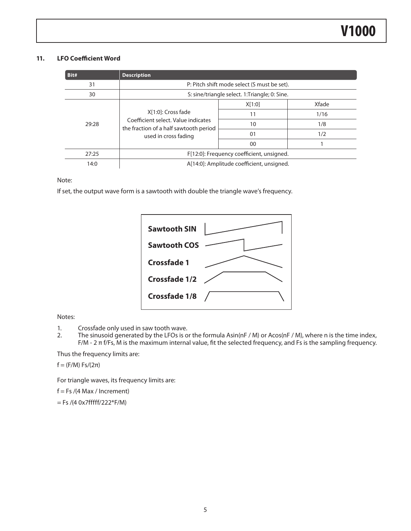#### **11. LFO Coefficient Word**

| Bit#  | <b>Description</b>                                                                                                          |        |       |  |  |
|-------|-----------------------------------------------------------------------------------------------------------------------------|--------|-------|--|--|
| 31    | P: Pitch shift mode select (S must be set).                                                                                 |        |       |  |  |
| 30    | S: sine/triangle select. 1:Triangle; 0: Sine.                                                                               |        |       |  |  |
|       | X[1:0]: Cross fade<br>Coefficient select. Value indicates<br>the fraction of a half sawtooth period<br>used in cross fading | X[1:0] | Xfade |  |  |
|       |                                                                                                                             | 11     | 1/16  |  |  |
| 29:28 |                                                                                                                             | 10     | 1/8   |  |  |
|       |                                                                                                                             | 01     | 1/2   |  |  |
|       |                                                                                                                             | 00     |       |  |  |
| 27:25 | F[12:0]: Frequency coefficient, unsigned.                                                                                   |        |       |  |  |
| 14:0  | A[14:0]: Amplitude coefficient, unsigned.                                                                                   |        |       |  |  |

Note:

If set, the output wave form is a sawtooth with double the triangle wave's frequency.

| <b>Sawtooth SIN</b>  |  |
|----------------------|--|
| <b>Sawtooth COS</b>  |  |
| <b>Crossfade 1</b>   |  |
| <b>Crossfade 1/2</b> |  |
| <b>Crossfade 1/8</b> |  |
|                      |  |

Notes:

- 1. Crossfade only used in saw tooth wave.
- 2. The sinusoid generated by the LFOs is or the formula Asin(nF / M) or Acos(nF / M), where n is the time index, F/M - 2 π f/Fs, M is the maximum internal value, fit the selected frequency, and Fs is the sampling frequency.

Thus the frequency limits are:

 $f = (F/M) Fs/(2\pi)$ 

For triangle waves, its frequency limits are:

 $f = Fs / (4 Max / Increment)$ 

 $=$  Fs /(4 0x7fffff/222\*F/M)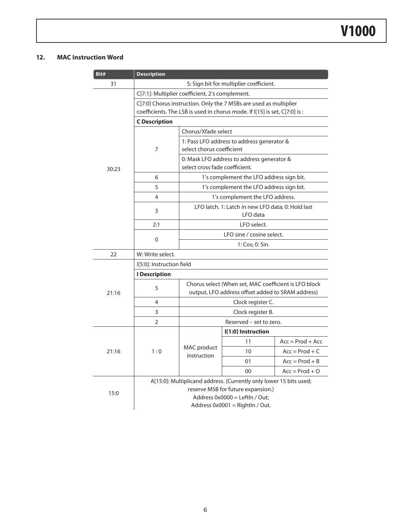#### **12. MAC Instruction Word**

| Bit#  | <b>Description</b>                              |                                                                         |                                                                                                            |                    |  |
|-------|-------------------------------------------------|-------------------------------------------------------------------------|------------------------------------------------------------------------------------------------------------|--------------------|--|
| 31    |                                                 |                                                                         | S: Sign bit for multiplier coefficient.                                                                    |                    |  |
|       | C[7:1]: Multiplier coefficient, 2's complement. |                                                                         |                                                                                                            |                    |  |
|       |                                                 |                                                                         | C[7:0] Chorus instruction. Only the 7 MSBs are used as multiplier                                          |                    |  |
|       |                                                 |                                                                         | coefficients. The LSB is used in chorus mode. If I[15] is set, C[7:0] is :                                 |                    |  |
|       | <b>C</b> Description                            |                                                                         |                                                                                                            |                    |  |
|       |                                                 | Chorus/Xfade select                                                     |                                                                                                            |                    |  |
|       | 7                                               | 1: Pass LFO address to address generator &<br>select chorus coefficient |                                                                                                            |                    |  |
|       |                                                 |                                                                         | 0: Mask LFO address to address generator &                                                                 |                    |  |
| 30:23 |                                                 | select cross fade coefficient.                                          |                                                                                                            |                    |  |
|       | 6                                               |                                                                         | 1's complement the LFO address sign bit.                                                                   |                    |  |
|       | 5                                               |                                                                         | 1's complement the LFO address sign bit.                                                                   |                    |  |
|       | 4                                               |                                                                         | 1's complement the LFO address.                                                                            |                    |  |
|       | 3                                               |                                                                         | LFO latch. 1: Latch in new LFO data; 0: Hold last                                                          |                    |  |
|       |                                                 | LFO data                                                                |                                                                                                            |                    |  |
|       | 2:1                                             | LFO select.                                                             |                                                                                                            |                    |  |
|       | 0                                               | LFO sine / cosine select.                                               |                                                                                                            |                    |  |
|       |                                                 | 1: Cos; 0: Sin.                                                         |                                                                                                            |                    |  |
| 22    | W: Write select.                                |                                                                         |                                                                                                            |                    |  |
|       | I[5:0]: Instruction field                       |                                                                         |                                                                                                            |                    |  |
|       | <b>I</b> Description                            |                                                                         |                                                                                                            |                    |  |
|       | 5                                               |                                                                         | Chorus select (When set, MAC coefficient is LFO block<br>output, LFO address offset added to SRAM address) |                    |  |
| 21:16 | 4                                               |                                                                         |                                                                                                            |                    |  |
|       | 3                                               |                                                                         | Clock register C.<br>Clock register B.                                                                     |                    |  |
|       | $\overline{2}$                                  |                                                                         | Reserved – set to zero.                                                                                    |                    |  |
|       |                                                 |                                                                         | I[1:0] Instruction                                                                                         |                    |  |
|       |                                                 |                                                                         | 11                                                                                                         | $Acc = Prod + Acc$ |  |
| 21:16 | 1:0                                             | MAC product                                                             | 10                                                                                                         | $Acc = Prod + C$   |  |
|       |                                                 | instruction                                                             | 01                                                                                                         | $Acc = Prod + B$   |  |
|       |                                                 | 00                                                                      | $Acc = Prod + O$                                                                                           |                    |  |
|       |                                                 |                                                                         | A[15:0]: Multiplicand address. (Currently only lower 15 bits used;                                         |                    |  |
|       |                                                 |                                                                         | reserve MSB for future expansion.)                                                                         |                    |  |
| 15:0  | Address $0x0000 =$ Leftln / Out;                |                                                                         |                                                                                                            |                    |  |
|       | Address 0x0001 = Rightln / Out.                 |                                                                         |                                                                                                            |                    |  |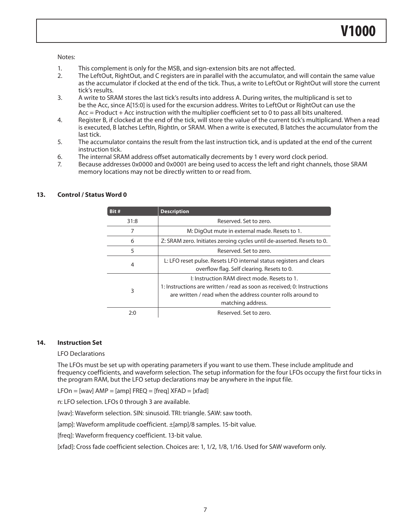#### Notes:

- 1. This complement is only for the MSB, and sign-extension bits are not affected.
- 2. The LeftOut, RightOut, and C registers are in parallel with the accumulator, and will contain the same value as the accumulator if clocked at the end of the tick. Thus, a write to LeftOut or RightOut will store the current tick's results.
- 3. A write to SRAM stores the last tick's results into address A. During writes, the multiplicand is set to be the Acc, since A[15:0] is used for the excursion address. Writes to LeftOut or RightOut can use the Acc = Product + Acc instruction with the multiplier coefficient set to 0 to pass all bits unaltered.
- 4. Register B, if clocked at the end of the tick, will store the value of the current tick's multiplicand. When a read is executed, B latches LeftIn, RightIn, or SRAM. When a write is executed, B latches the accumulator from the last tick.
- 5. The accumulator contains the result from the last instruction tick, and is updated at the end of the current instruction tick.
- 6. The internal SRAM address offset automatically decrements by 1 every word clock period.
- 7. Because addresses 0x0000 and 0x0001 are being used to access the left and right channels, those SRAM memory locations may not be directly written to or read from.

| Bit# | <b>Description</b>                                                                                                                                                                                          |  |  |
|------|-------------------------------------------------------------------------------------------------------------------------------------------------------------------------------------------------------------|--|--|
| 31:8 | Reserved. Set to zero.                                                                                                                                                                                      |  |  |
| 7    | M: DigOut mute in external made. Resets to 1.                                                                                                                                                               |  |  |
| 6    | Z: SRAM zero. Initiates zeroing cycles until de-asserted. Resets to 0.                                                                                                                                      |  |  |
| 5    | Reserved. Set to zero.                                                                                                                                                                                      |  |  |
| 4    | L: LFO reset pulse. Resets LFO internal status registers and clears<br>overflow flag. Self clearing. Resets to 0.                                                                                           |  |  |
| 3    | I: Instruction RAM direct mode. Resets to 1.<br>1: Instructions are written / read as soon as received; 0: Instructions<br>are written / read when the address counter rolls around to<br>matching address. |  |  |
| 2:0  | Reserved. Set to zero.                                                                                                                                                                                      |  |  |

#### **13. Control / Status Word 0**

#### **14. Instruction Set**

#### LFO Declarations

The LFOs must be set up with operating parameters if you want to use them. These include amplitude and frequency coefficients, and waveform selection. The setup information for the four LFOs occupy the first four ticks in the program RAM, but the LFO setup declarations may be anywhere in the input file.

LFOn = [wav]  $AMP = [amp]$  FREQ = [freq]  $XFAD = [xfad]$ 

n: LFO selection. LFOs 0 through 3 are available.

[wav]: Waveform selection. SIN: sinusoid. TRI: triangle. SAW: saw tooth.

[amp]: Waveform amplitude coefficient. ±[amp]/8 samples. 15-bit value.

[freq]: Waveform frequency coefficient. 13-bit value.

[xfad]: Cross fade coefficient selection. Choices are: 1, 1/2, 1/8, 1/16. Used for SAW waveform only.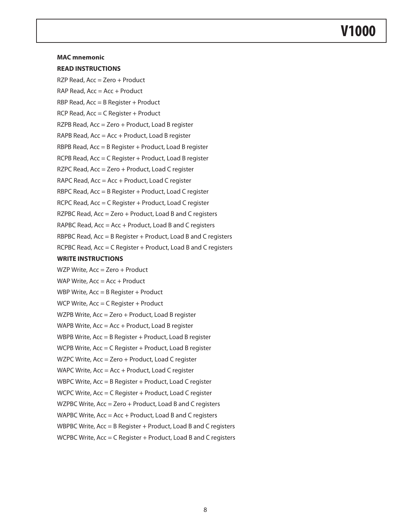### **V1000**

#### **MAC mnemonic**

#### **READ INSTRUCTIONS**

RZP Read, Acc = Zero + Product

 $RAP$  Read,  $Acc = Acc + Product$ 

RBP Read,  $Acc = B$  Register + Product

RCP Read, Acc = C Register + Product

RZPB Read, Acc = Zero + Product, Load B register

RAPB Read, Acc = Acc + Product, Load B register

RBPB Read, Acc = B Register + Product, Load B register

RCPB Read, Acc = C Register + Product, Load B register

RZPC Read, Acc = Zero + Product, Load C register

RAPC Read, Acc = Acc + Product, Load C register

RBPC Read, Acc = B Register + Product, Load C register

RCPC Read, Acc = C Register + Product, Load C register

RZPBC Read, Acc = Zero + Product, Load B and C registers

RAPBC Read, Acc = Acc + Product, Load B and C registers

RBPBC Read, Acc = B Register + Product, Load B and C registers

RCPBC Read, Acc = C Register + Product, Load B and C registers

#### **WRITE INSTRUCTIONS**

WZP Write, Acc = Zero + Product

WAP Write,  $Acc = Acc + Product$ 

WBP Write, Acc = B Register + Product

WCP Write, Acc = C Register + Product

WZPB Write, Acc = Zero + Product, Load B register

- WAPB Write, Acc = Acc + Product, Load B register
- WBPB Write, Acc = B Register + Product, Load B register
- WCPB Write, Acc = C Register + Product, Load B register
- WZPC Write, Acc = Zero + Product, Load C register
- WAPC Write, Acc = Acc + Product, Load C register

WBPC Write, Acc = B Register + Product, Load C register

WCPC Write, Acc = C Register + Product, Load C register

WZPBC Write, Acc = Zero + Product, Load B and C registers

- WAPBC Write, Acc = Acc + Product, Load B and C registers
- WBPBC Write, Acc = B Register + Product, Load B and C registers
- WCPBC Write, Acc = C Register + Product, Load B and C registers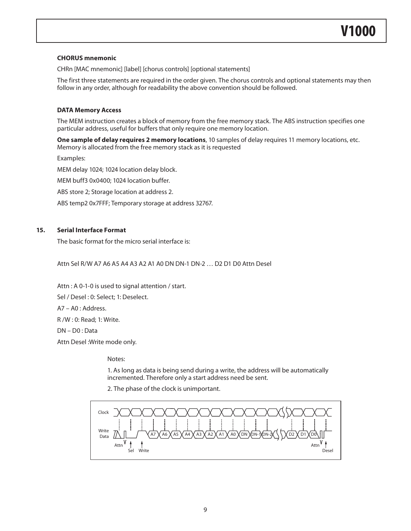#### **CHORUS mnemonic**

CHRn [MAC mnemonic] [label] [chorus controls] [optional statements]

The first three statements are required in the order given. The chorus controls and optional statements may then follow in any order, although for readability the above convention should be followed.

#### **DATA Memory Access**

The MEM instruction creates a block of memory from the free memory stack. The ABS instruction specifies one particular address, useful for buffers that only require one memory location.

**One sample of delay requires 2 memory locations**, 10 samples of delay requires 11 memory locations, etc. Memory is allocated from the free memory stack as it is requested

Examples: MEM delay 1024; 1024 location delay block. MEM buff3 0x0400; 1024 location buffer. ABS store 2; Storage location at address 2. ABS temp2 0x7FFF; Temporary storage at address 32767.

#### **15. Serial Interface Format**

The basic format for the micro serial interface is:

Attn Sel R/W A7 A6 A5 A4 A3 A2 A1 A0 DN DN-1 DN-2 … D2 D1 D0 Attn Desel

Attn : A 0-1-0 is used to signal attention / start. Sel / Desel : 0: Select; 1: Deselect. A7 – A0 : Address. R /W : 0: Read; 1: Write. DN – D0 : Data Attn Desel :Write mode only.

Notes:

1. As long as data is being send during a write, the address will be automatically incremented. Therefore only a start address need be sent.

2. The phase of the clock is unimportant.

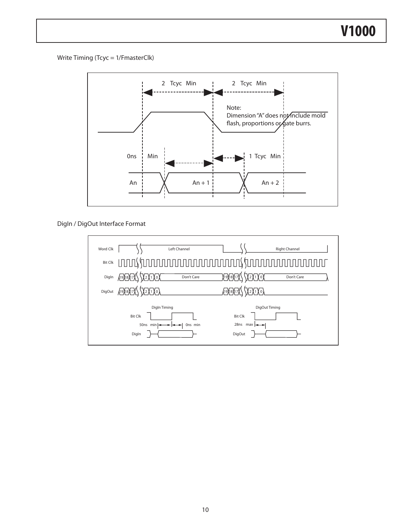Write Timing (Tcyc = 1/FmasterClk)

Data



DigIn / DigOut Interface Format

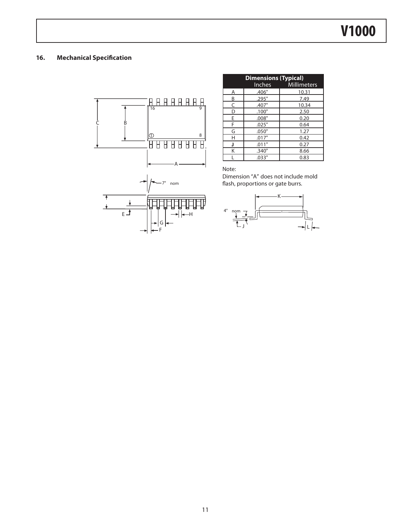#### **16. Mechanical Specification**



|   | <b>Dimensions (Typical)</b> |                    |  |  |  |
|---|-----------------------------|--------------------|--|--|--|
|   | <b>Inches</b>               | <b>Millimeters</b> |  |  |  |
| Α | .406"                       | 10.31              |  |  |  |
| B | .295"                       | 7.49               |  |  |  |
| C | .407"                       | 10.34              |  |  |  |
| D | .100"                       | 2.50               |  |  |  |
| Е | .008"                       | 0.20               |  |  |  |
| F | .025"                       | 0.64               |  |  |  |
| G | .050"                       | 1.27               |  |  |  |
| Н | .017"                       | 0.42               |  |  |  |
| J | .011"                       | 0.27               |  |  |  |
| K | .340"                       | 8.66               |  |  |  |
|   | .033"                       | 0.83               |  |  |  |

Note:

Dimension "A" does not include mold flash, proportions or gate burrs.

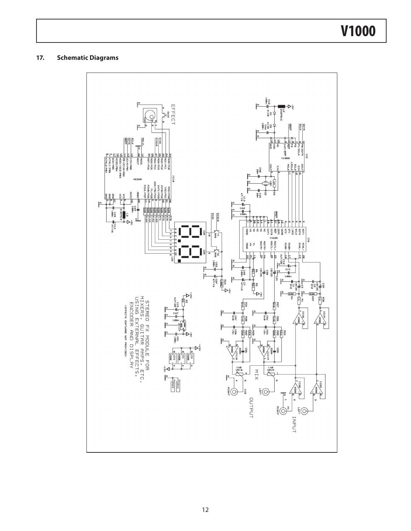## **V1000**

#### **17. Schematic Diagrams**